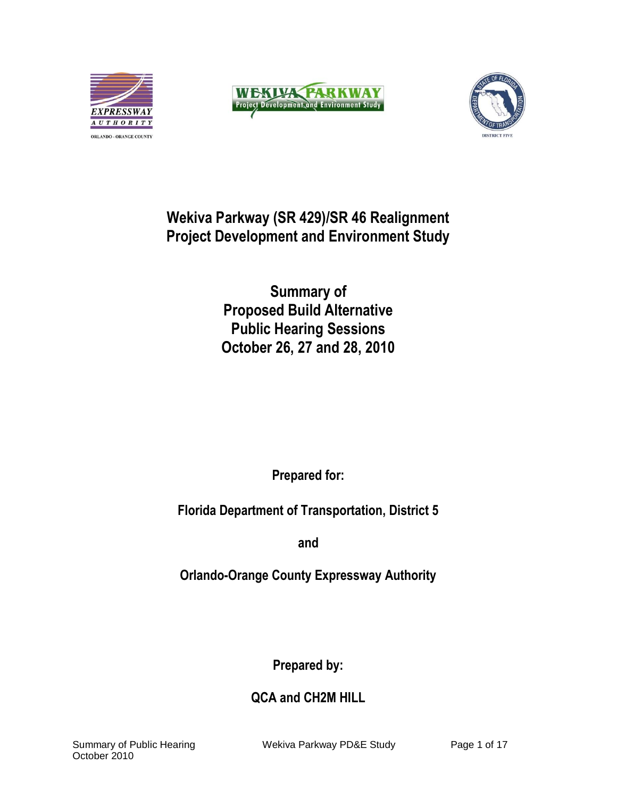





# **Wekiva Parkway (SR 429)/SR 46 Realignment Project Development and Environment Study**

**Summary of Proposed Build Alternative Public Hearing Sessions October 26, 27 and 28, 2010**

**Prepared for:**

**Florida Department of Transportation, District 5**

**and**

**Orlando-Orange County Expressway Authority**

**Prepared by:**

**QCA and CH2M HILL**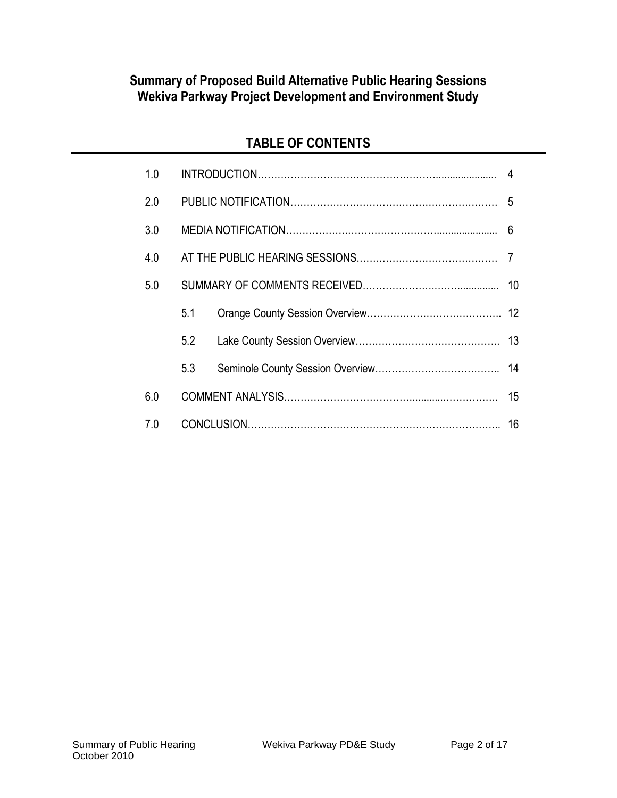# **Summary of Proposed Build Alternative Public Hearing Sessions Wekiva Parkway Project Development and Environment Study**

# **TABLE OF CONTENTS**

| 1.0 |     |  |                |
|-----|-----|--|----------------|
| 2.0 |     |  |                |
| 3.0 |     |  | 6              |
| 4.0 |     |  | $\overline{7}$ |
| 5.0 | 10  |  |                |
|     | 5.1 |  |                |
|     | 5.2 |  | 13             |
|     | 5.3 |  | 14             |
| 6.0 |     |  | 15             |
| 7.0 |     |  | 16             |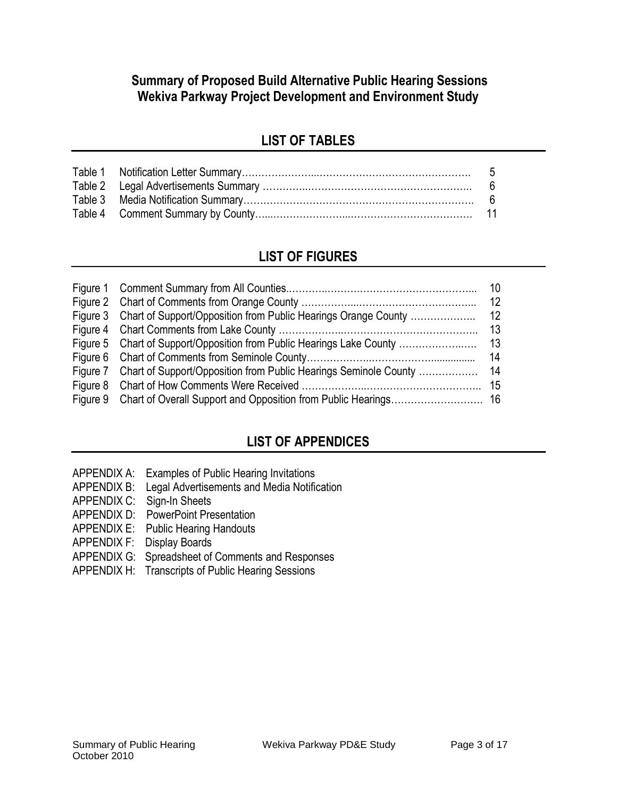### **Summary of Proposed Build Alternative Public Hearing Sessions Wekiva Parkway Project Development and Environment Study**

# **LIST OF TABLES**

### **LIST OF FIGURES**

# **LIST OF APPENDICES**

- APPENDIX A: Examples of Public Hearing Invitations
- APPENDIX B: Legal Advertisements and Media Notification
- APPENDIX C: Sign-In Sheets
- APPENDIX D: PowerPoint Presentation
- APPENDIX E: Public Hearing Handouts
- APPENDIX F: Display Boards
- APPENDIX G: Spreadsheet of Comments and Responses
- APPENDIX H: Transcripts of Public Hearing Sessions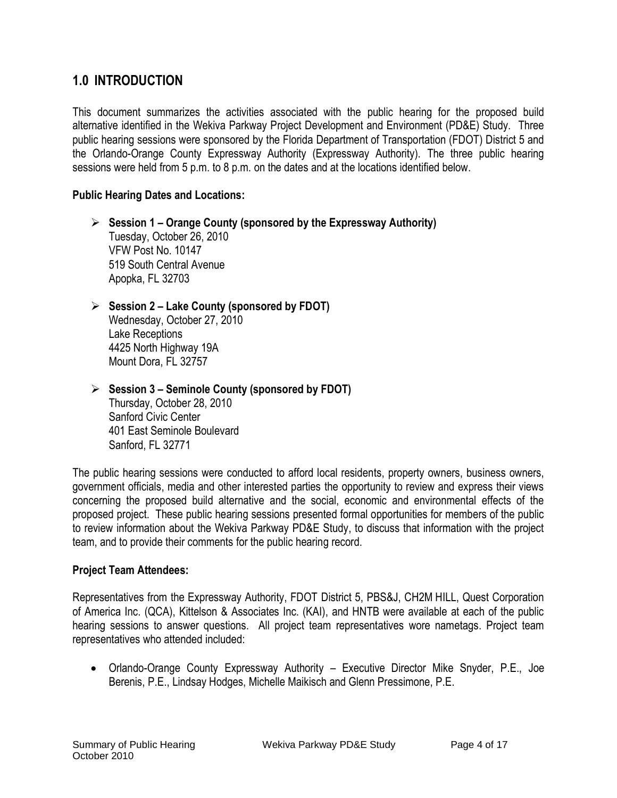### **1.0 INTRODUCTION**

This document summarizes the activities associated with the public hearing for the proposed build alternative identified in the Wekiva Parkway Project Development and Environment (PD&E) Study. Three public hearing sessions were sponsored by the Florida Department of Transportation (FDOT) District 5 and the Orlando-Orange County Expressway Authority (Expressway Authority). The three public hearing sessions were held from 5 p.m. to 8 p.m. on the dates and at the locations identified below.

#### **Public Hearing Dates and Locations:**

- **Session 1 – Orange County (sponsored by the Expressway Authority)** Tuesday, October 26, 2010 VFW Post No. 10147 519 South Central Avenue Apopka, FL 32703
- **Session 2 – Lake County (sponsored by FDOT)** Wednesday, October 27, 2010 Lake Receptions 4425 North Highway 19A Mount Dora, FL 32757
- **Session 3 – Seminole County (sponsored by FDOT)** Thursday, October 28, 2010 Sanford Civic Center 401 East Seminole Boulevard Sanford, FL 32771

The public hearing sessions were conducted to afford local residents, property owners, business owners, government officials, media and other interested parties the opportunity to review and express their views concerning the proposed build alternative and the social, economic and environmental effects of the proposed project. These public hearing sessions presented formal opportunities for members of the public to review information about the Wekiva Parkway PD&E Study, to discuss that information with the project team, and to provide their comments for the public hearing record.

#### **Project Team Attendees:**

Representatives from the Expressway Authority, FDOT District 5, PBS&J, CH2M HILL, Quest Corporation of America Inc. (QCA), Kittelson & Associates Inc. (KAI), and HNTB were available at each of the public hearing sessions to answer questions. All project team representatives wore nametags. Project team representatives who attended included:

 Orlando-Orange County Expressway Authority – Executive Director Mike Snyder, P.E., Joe Berenis, P.E., Lindsay Hodges, Michelle Maikisch and Glenn Pressimone, P.E.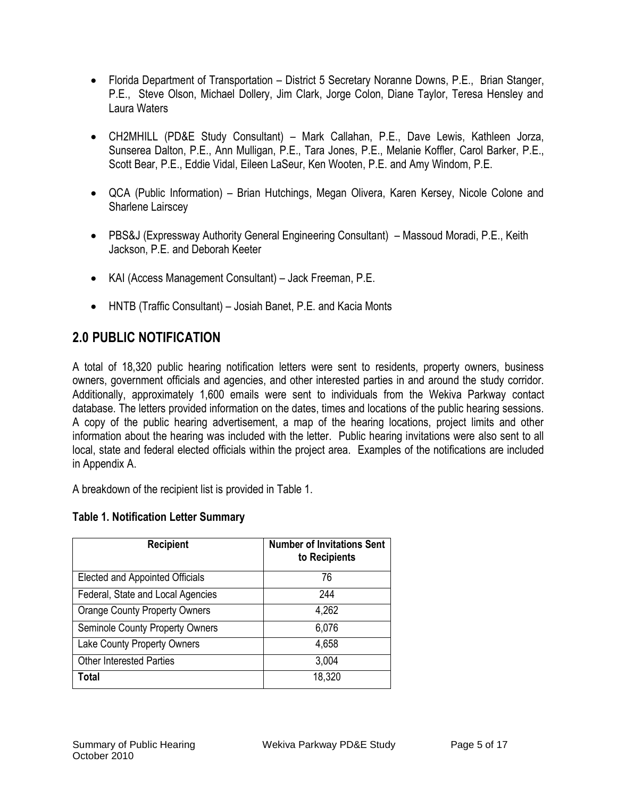- Florida Department of Transportation District 5 Secretary Noranne Downs, P.E., Brian Stanger, P.E., Steve Olson, Michael Dollery, Jim Clark, Jorge Colon, Diane Taylor, Teresa Hensley and Laura Waters
- CH2MHILL (PD&E Study Consultant) Mark Callahan, P.E., Dave Lewis, Kathleen Jorza, Sunserea Dalton, P.E., Ann Mulligan, P.E., Tara Jones, P.E., Melanie Koffler, Carol Barker, P.E., Scott Bear, P.E., Eddie Vidal, Eileen LaSeur, Ken Wooten, P.E. and Amy Windom, P.E.
- QCA (Public Information) Brian Hutchings, Megan Olivera, Karen Kersey, Nicole Colone and Sharlene Lairscey
- PBS&J (Expressway Authority General Engineering Consultant) Massoud Moradi, P.E., Keith Jackson, P.E. and Deborah Keeter
- KAI (Access Management Consultant) Jack Freeman, P.E.
- HNTB (Traffic Consultant) Josiah Banet, P.E. and Kacia Monts

# **2.0 PUBLIC NOTIFICATION**

A total of 18,320 public hearing notification letters were sent to residents, property owners, business owners, government officials and agencies, and other interested parties in and around the study corridor. Additionally, approximately 1,600 emails were sent to individuals from the Wekiva Parkway contact database. The letters provided information on the dates, times and locations of the public hearing sessions. A copy of the public hearing advertisement, a map of the hearing locations, project limits and other information about the hearing was included with the letter. Public hearing invitations were also sent to all local, state and federal elected officials within the project area. Examples of the notifications are included in Appendix A.

A breakdown of the recipient list is provided in Table 1.

#### **Table 1. Notification Letter Summary**

| <b>Recipient</b>                     | <b>Number of Invitations Sent</b><br>to Recipients |
|--------------------------------------|----------------------------------------------------|
| Elected and Appointed Officials      | 76                                                 |
| Federal, State and Local Agencies    | 244                                                |
| <b>Orange County Property Owners</b> | 4,262                                              |
| Seminole County Property Owners      | 6,076                                              |
| Lake County Property Owners          | 4,658                                              |
| <b>Other Interested Parties</b>      | 3,004                                              |
| Total                                | 18,320                                             |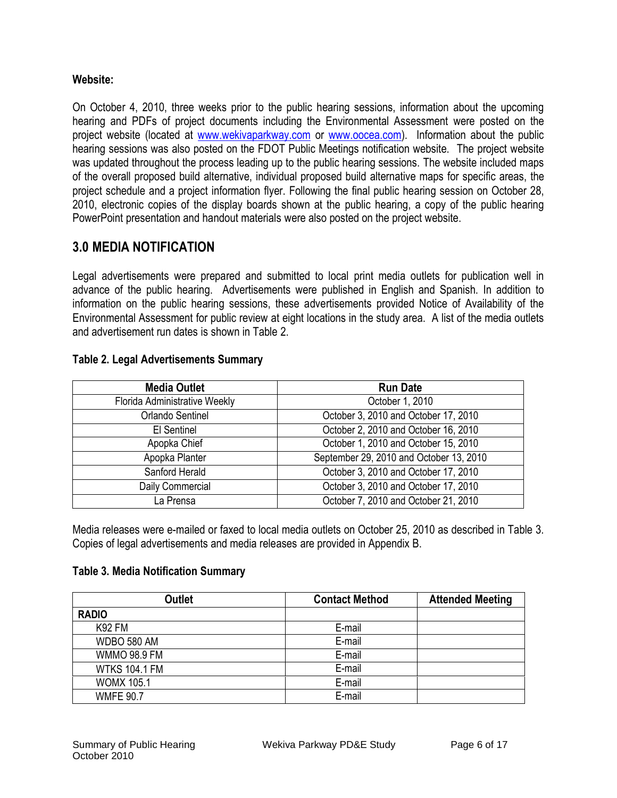#### **Website:**

On October 4, 2010, three weeks prior to the public hearing sessions, information about the upcoming hearing and PDFs of project documents including the Environmental Assessment were posted on the project website (located at [www.wekivaparkway.com](http://www.wekivaparkway.com/) or [www.oocea.com\)](http://www.oocea.com/). Information about the public hearing sessions was also posted on the FDOT Public Meetings notification website. The project website was updated throughout the process leading up to the public hearing sessions. The website included maps of the overall proposed build alternative, individual proposed build alternative maps for specific areas, the project schedule and a project information flyer. Following the final public hearing session on October 28, 2010, electronic copies of the display boards shown at the public hearing, a copy of the public hearing PowerPoint presentation and handout materials were also posted on the project website.

### **3.0 MEDIA NOTIFICATION**

Legal advertisements were prepared and submitted to local print media outlets for publication well in advance of the public hearing. Advertisements were published in English and Spanish. In addition to information on the public hearing sessions, these advertisements provided Notice of Availability of the Environmental Assessment for public review at eight locations in the study area. A list of the media outlets and advertisement run dates is shown in Table 2.

| <b>Media Outlet</b>           | <b>Run Date</b>                         |  |
|-------------------------------|-----------------------------------------|--|
| Florida Administrative Weekly | October 1, 2010                         |  |
| Orlando Sentinel              | October 3, 2010 and October 17, 2010    |  |
| El Sentinel                   | October 2, 2010 and October 16, 2010    |  |
| Apopka Chief                  | October 1, 2010 and October 15, 2010    |  |
| Apopka Planter                | September 29, 2010 and October 13, 2010 |  |
| Sanford Herald                | October 3, 2010 and October 17, 2010    |  |
| Daily Commercial              | October 3, 2010 and October 17, 2010    |  |
| La Prensa                     | October 7, 2010 and October 21, 2010    |  |

#### **Table 2. Legal Advertisements Summary**

Media releases were e-mailed or faxed to local media outlets on October 25, 2010 as described in Table 3. Copies of legal advertisements and media releases are provided in Appendix B.

#### **Table 3. Media Notification Summary**

| <b>Outlet</b>        | <b>Contact Method</b> | <b>Attended Meeting</b> |
|----------------------|-----------------------|-------------------------|
| <b>RADIO</b>         |                       |                         |
| <b>K92 FM</b>        | E-mail                |                         |
| WDBO 580 AM          | E-mail                |                         |
| <b>WMMO 98.9 FM</b>  | E-mail                |                         |
| <b>WTKS 104.1 FM</b> | E-mail                |                         |
| <b>WOMX 105.1</b>    | E-mail                |                         |
| <b>WMFE 90.7</b>     | E-mail                |                         |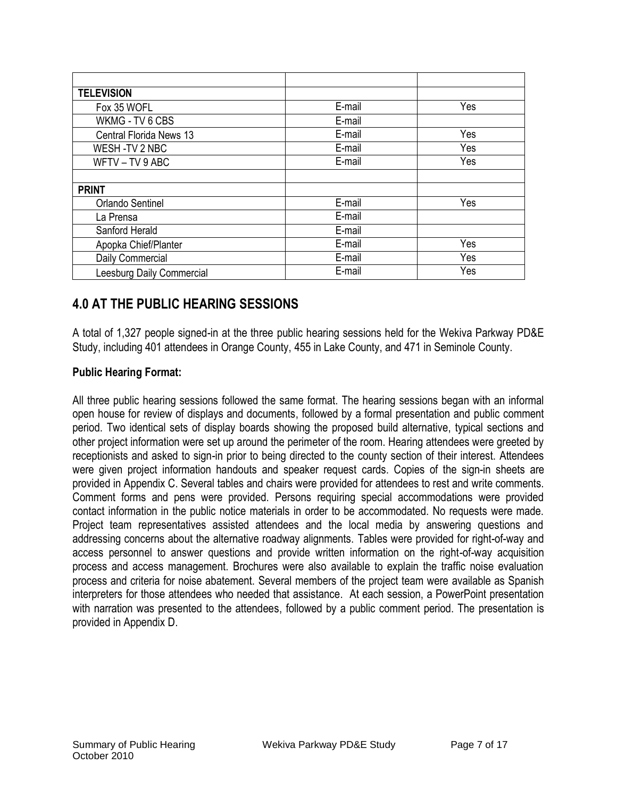| <b>TELEVISION</b>         |        |     |
|---------------------------|--------|-----|
| Fox 35 WOFL               | E-mail | Yes |
| WKMG - TV 6 CBS           | E-mail |     |
| Central Florida News 13   | E-mail | Yes |
| WESH-TV 2 NBC             | E-mail | Yes |
| WFTV-TV9ABC               | E-mail | Yes |
|                           |        |     |
| <b>PRINT</b>              |        |     |
| <b>Orlando Sentinel</b>   | E-mail | Yes |
| La Prensa                 | E-mail |     |
| Sanford Herald            | E-mail |     |
| Apopka Chief/Planter      | E-mail | Yes |
| Daily Commercial          | E-mail | Yes |
| Leesburg Daily Commercial | E-mail | Yes |

# **4.0 AT THE PUBLIC HEARING SESSIONS**

A total of 1,327 people signed-in at the three public hearing sessions held for the Wekiva Parkway PD&E Study, including 401 attendees in Orange County, 455 in Lake County, and 471 in Seminole County.

#### **Public Hearing Format:**

All three public hearing sessions followed the same format. The hearing sessions began with an informal open house for review of displays and documents, followed by a formal presentation and public comment period. Two identical sets of display boards showing the proposed build alternative, typical sections and other project information were set up around the perimeter of the room. Hearing attendees were greeted by receptionists and asked to sign-in prior to being directed to the county section of their interest. Attendees were given project information handouts and speaker request cards. Copies of the sign-in sheets are provided in Appendix C. Several tables and chairs were provided for attendees to rest and write comments. Comment forms and pens were provided. Persons requiring special accommodations were provided contact information in the public notice materials in order to be accommodated. No requests were made. Project team representatives assisted attendees and the local media by answering questions and addressing concerns about the alternative roadway alignments. Tables were provided for right-of-way and access personnel to answer questions and provide written information on the right-of-way acquisition process and access management. Brochures were also available to explain the traffic noise evaluation process and criteria for noise abatement. Several members of the project team were available as Spanish interpreters for those attendees who needed that assistance. At each session, a PowerPoint presentation with narration was presented to the attendees, followed by a public comment period. The presentation is provided in Appendix D.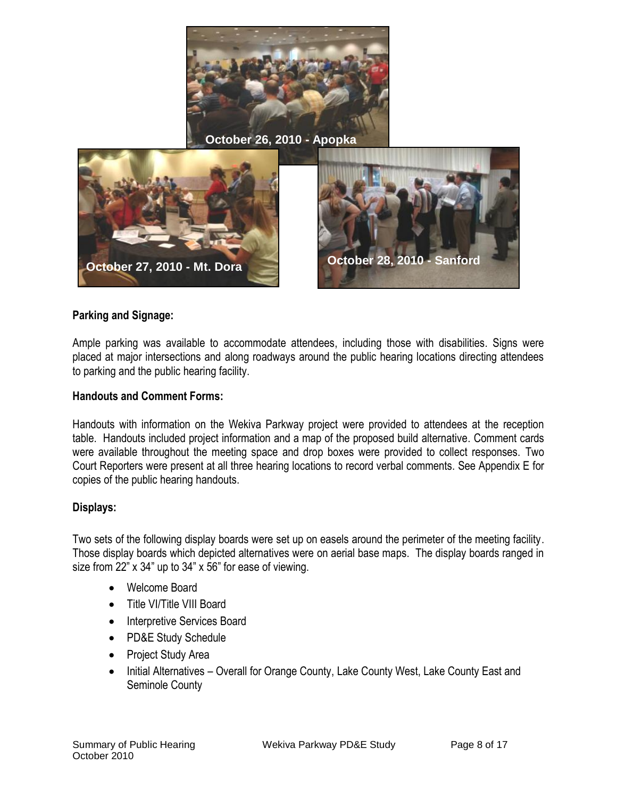

**October 26, 2010 - Apopka** 



#### **Parking and Signage:**

Ample parking was available to accommodate attendees, including those with disabilities. Signs were placed at major intersections and along roadways around the public hearing locations directing attendees to parking and the public hearing facility.

#### **Handouts and Comment Forms:**

Handouts with information on the Wekiva Parkway project were provided to attendees at the reception table. Handouts included project information and a map of the proposed build alternative. Comment cards were available throughout the meeting space and drop boxes were provided to collect responses. Two Court Reporters were present at all three hearing locations to record verbal comments. See Appendix E for copies of the public hearing handouts.

#### **Displays:**

Two sets of the following display boards were set up on easels around the perimeter of the meeting facility. Those display boards which depicted alternatives were on aerial base maps. The display boards ranged in size from 22" x 34" up to 34" x 56" for ease of viewing.

- Welcome Board
- Title VI/Title VIII Board
- Interpretive Services Board
- PD&E Study Schedule
- Project Study Area
- Initial Alternatives Overall for Orange County, Lake County West, Lake County East and Seminole County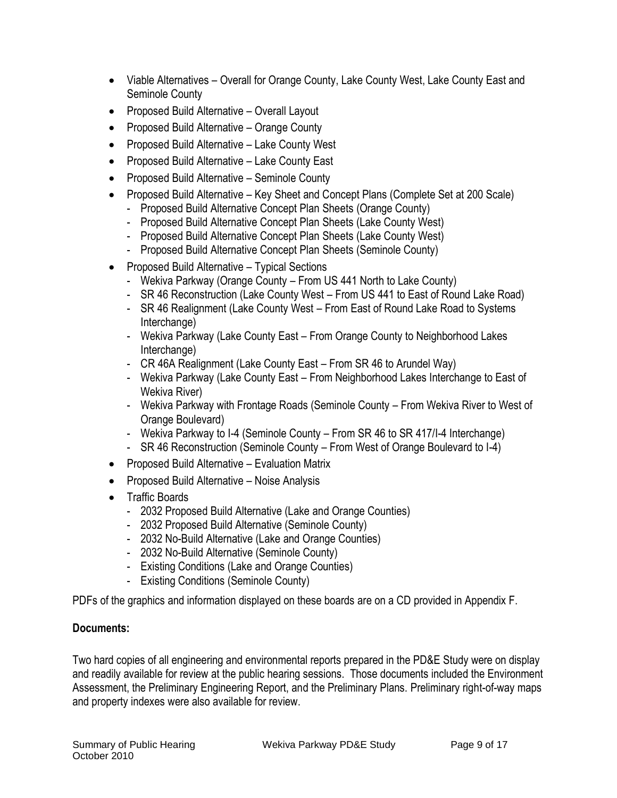- Viable Alternatives Overall for Orange County, Lake County West, Lake County East and Seminole County
- Proposed Build Alternative Overall Layout
- Proposed Build Alternative Orange County
- Proposed Build Alternative Lake County West
- Proposed Build Alternative Lake County East
- Proposed Build Alternative Seminole County
- Proposed Build Alternative Key Sheet and Concept Plans (Complete Set at 200 Scale)
	- Proposed Build Alternative Concept Plan Sheets (Orange County)
	- Proposed Build Alternative Concept Plan Sheets (Lake County West)
	- Proposed Build Alternative Concept Plan Sheets (Lake County West)
	- Proposed Build Alternative Concept Plan Sheets (Seminole County)
- Proposed Build Alternative Typical Sections
	- Wekiva Parkway (Orange County From US 441 North to Lake County)
	- SR 46 Reconstruction (Lake County West From US 441 to East of Round Lake Road)
	- SR 46 Realignment (Lake County West From East of Round Lake Road to Systems Interchange)
	- Wekiva Parkway (Lake County East From Orange County to Neighborhood Lakes Interchange)
	- CR 46A Realignment (Lake County East From SR 46 to Arundel Way)
	- Wekiva Parkway (Lake County East From Neighborhood Lakes Interchange to East of Wekiva River)
	- Wekiva Parkway with Frontage Roads (Seminole County From Wekiva River to West of Orange Boulevard)
	- Wekiva Parkway to I-4 (Seminole County From SR 46 to SR 417/I-4 Interchange)
	- SR 46 Reconstruction (Seminole County From West of Orange Boulevard to I-4)
- Proposed Build Alternative Evaluation Matrix
- Proposed Build Alternative Noise Analysis
- Traffic Boards
	- 2032 Proposed Build Alternative (Lake and Orange Counties)
	- 2032 Proposed Build Alternative (Seminole County)
	- 2032 No-Build Alternative (Lake and Orange Counties)
	- 2032 No-Build Alternative (Seminole County)
	- Existing Conditions (Lake and Orange Counties)
	- Existing Conditions (Seminole County)

PDFs of the graphics and information displayed on these boards are on a CD provided in Appendix F.

#### **Documents:**

Two hard copies of all engineering and environmental reports prepared in the PD&E Study were on display and readily available for review at the public hearing sessions. Those documents included the Environment Assessment, the Preliminary Engineering Report, and the Preliminary Plans. Preliminary right-of-way maps and property indexes were also available for review.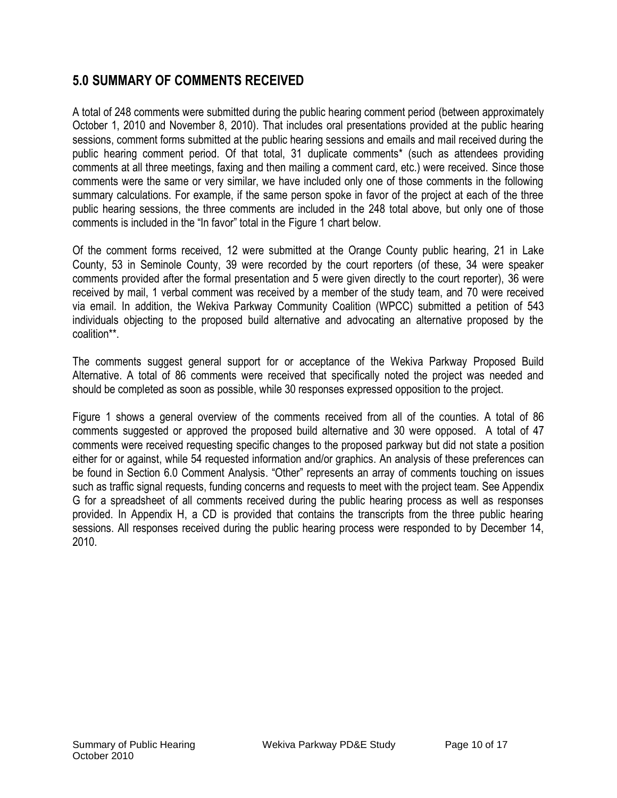### **5.0 SUMMARY OF COMMENTS RECEIVED**

A total of 248 comments were submitted during the public hearing comment period (between approximately October 1, 2010 and November 8, 2010). That includes oral presentations provided at the public hearing sessions, comment forms submitted at the public hearing sessions and emails and mail received during the public hearing comment period. Of that total, 31 duplicate comments\* (such as attendees providing comments at all three meetings, faxing and then mailing a comment card, etc.) were received. Since those comments were the same or very similar, we have included only one of those comments in the following summary calculations. For example, if the same person spoke in favor of the project at each of the three public hearing sessions, the three comments are included in the 248 total above, but only one of those comments is included in the "In favor" total in the Figure 1 chart below.

Of the comment forms received, 12 were submitted at the Orange County public hearing, 21 in Lake County, 53 in Seminole County, 39 were recorded by the court reporters (of these, 34 were speaker comments provided after the formal presentation and 5 were given directly to the court reporter), 36 were received by mail, 1 verbal comment was received by a member of the study team, and 70 were received via email. In addition, the Wekiva Parkway Community Coalition (WPCC) submitted a petition of 543 individuals objecting to the proposed build alternative and advocating an alternative proposed by the coalition\*\*.

The comments suggest general support for or acceptance of the Wekiva Parkway Proposed Build Alternative. A total of 86 comments were received that specifically noted the project was needed and should be completed as soon as possible, while 30 responses expressed opposition to the project.

Figure 1 shows a general overview of the comments received from all of the counties. A total of 86 comments suggested or approved the proposed build alternative and 30 were opposed. A total of 47 comments were received requesting specific changes to the proposed parkway but did not state a position either for or against, while 54 requested information and/or graphics. An analysis of these preferences can be found in Section 6.0 Comment Analysis. "Other" represents an array of comments touching on issues such as traffic signal requests, funding concerns and requests to meet with the project team. See Appendix G for a spreadsheet of all comments received during the public hearing process as well as responses provided. In Appendix H, a CD is provided that contains the transcripts from the three public hearing sessions. All responses received during the public hearing process were responded to by December 14, 2010.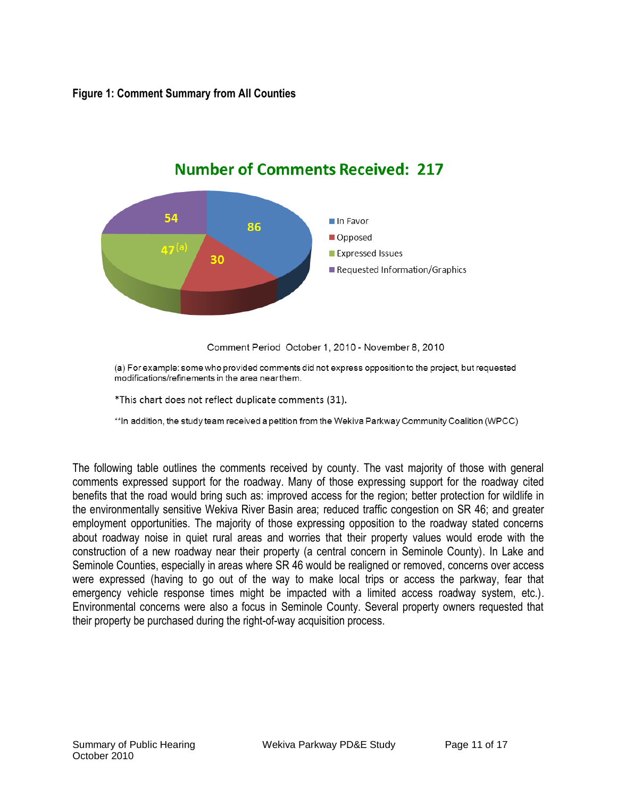

# **Number of Comments Received: 217**

Comment Period October 1, 2010 - November 8, 2010

(a) For example: some who provided comments did not express opposition to the project, but requested modifications/refinements in the area near them.

\*This chart does not reflect duplicate comments (31).

\*\*In addition, the study team received a petition from the Wekiva Parkway Community Coalition (WPCC)

The following table outlines the comments received by county. The vast majority of those with general comments expressed support for the roadway. Many of those expressing support for the roadway cited benefits that the road would bring such as: improved access for the region; better protection for wildlife in the environmentally sensitive Wekiva River Basin area; reduced traffic congestion on SR 46; and greater employment opportunities. The majority of those expressing opposition to the roadway stated concerns about roadway noise in quiet rural areas and worries that their property values would erode with the construction of a new roadway near their property (a central concern in Seminole County). In Lake and Seminole Counties, especially in areas where SR 46 would be realigned or removed, concerns over access were expressed (having to go out of the way to make local trips or access the parkway, fear that emergency vehicle response times might be impacted with a limited access roadway system, etc.). Environmental concerns were also a focus in Seminole County. Several property owners requested that their property be purchased during the right-of-way acquisition process.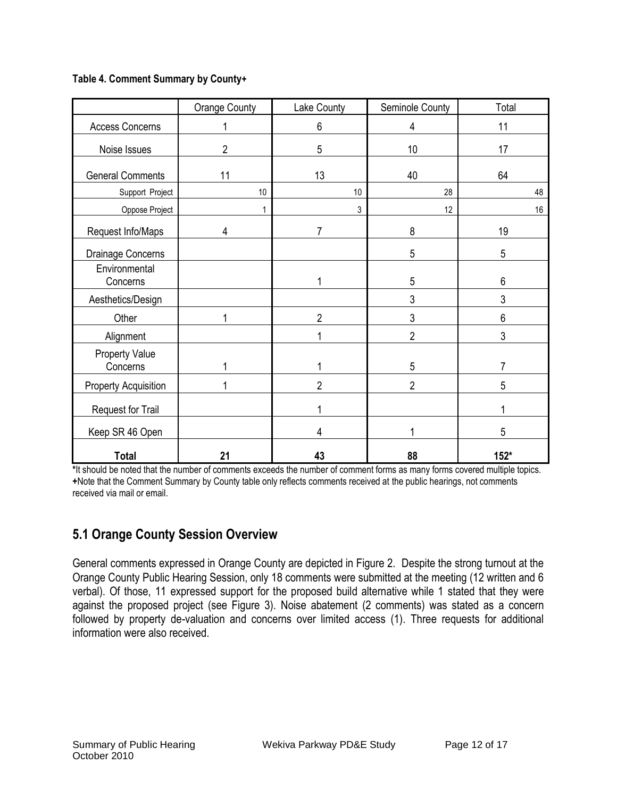#### **Table 4. Comment Summary by County+**

|                                   | <b>Orange County</b> | Lake County    | Seminole County | Total  |
|-----------------------------------|----------------------|----------------|-----------------|--------|
| <b>Access Concerns</b>            |                      | $6\phantom{1}$ | 4               | 11     |
| Noise Issues                      | $\overline{2}$       | 5              | 10              | 17     |
| <b>General Comments</b>           | 11                   | 13             | 40              | 64     |
| Support Project                   | 10                   | 10             | 28              | 48     |
| Oppose Project                    |                      | 3              | 12              | 16     |
| Request Info/Maps                 | 4                    | 7              | 8               | 19     |
| Drainage Concerns                 |                      |                | 5               | 5      |
| Environmental<br>Concerns         |                      |                | 5               | 6      |
| Aesthetics/Design                 |                      |                | 3               | 3      |
| Other                             | 1                    | $\overline{2}$ | 3               | 6      |
| Alignment                         |                      |                | $\overline{2}$  | 3      |
| <b>Property Value</b><br>Concerns |                      |                | 5               | 7      |
| <b>Property Acquisition</b>       | 1                    | $\overline{2}$ | $\overline{2}$  | 5      |
| Request for Trail                 |                      |                |                 | 1      |
| Keep SR 46 Open                   |                      | 4              |                 | 5      |
| <b>Total</b>                      | 21                   | 43             | 88              | $152*$ |

**\***It should be noted that the number of comments exceeds the number of comment forms as many forms covered multiple topics. **+**Note that the Comment Summary by County table only reflects comments received at the public hearings, not comments received via mail or email.

### **5.1 Orange County Session Overview**

General comments expressed in Orange County are depicted in Figure 2. Despite the strong turnout at the Orange County Public Hearing Session, only 18 comments were submitted at the meeting (12 written and 6 verbal). Of those, 11 expressed support for the proposed build alternative while 1 stated that they were against the proposed project (see Figure 3). Noise abatement (2 comments) was stated as a concern followed by property de-valuation and concerns over limited access (1). Three requests for additional information were also received.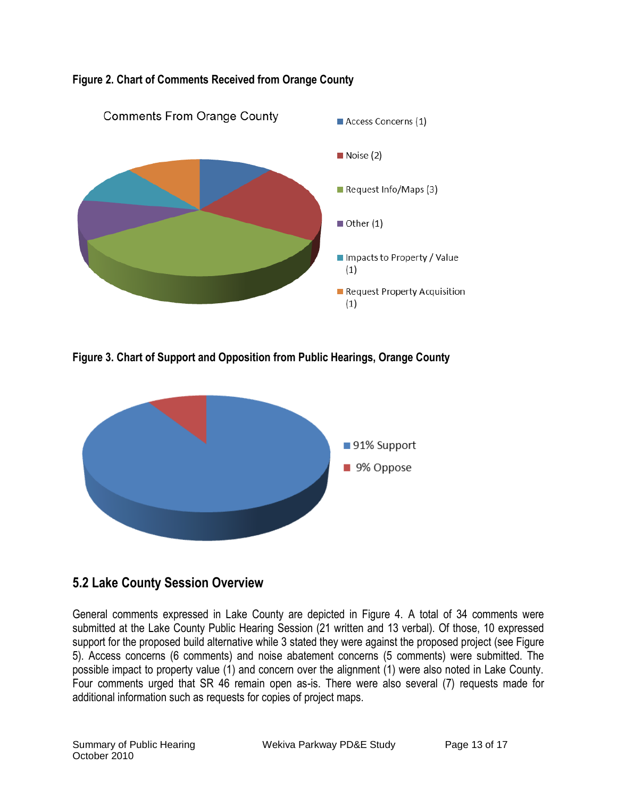

#### **Figure 2. Chart of Comments Received from Orange County**

**Figure 3. Chart of Support and Opposition from Public Hearings, Orange County**



### **5.2 Lake County Session Overview**

General comments expressed in Lake County are depicted in Figure 4. A total of 34 comments were submitted at the Lake County Public Hearing Session (21 written and 13 verbal). Of those, 10 expressed support for the proposed build alternative while 3 stated they were against the proposed project (see Figure 5). Access concerns (6 comments) and noise abatement concerns (5 comments) were submitted. The possible impact to property value (1) and concern over the alignment (1) were also noted in Lake County. Four comments urged that SR 46 remain open as-is. There were also several (7) requests made for additional information such as requests for copies of project maps.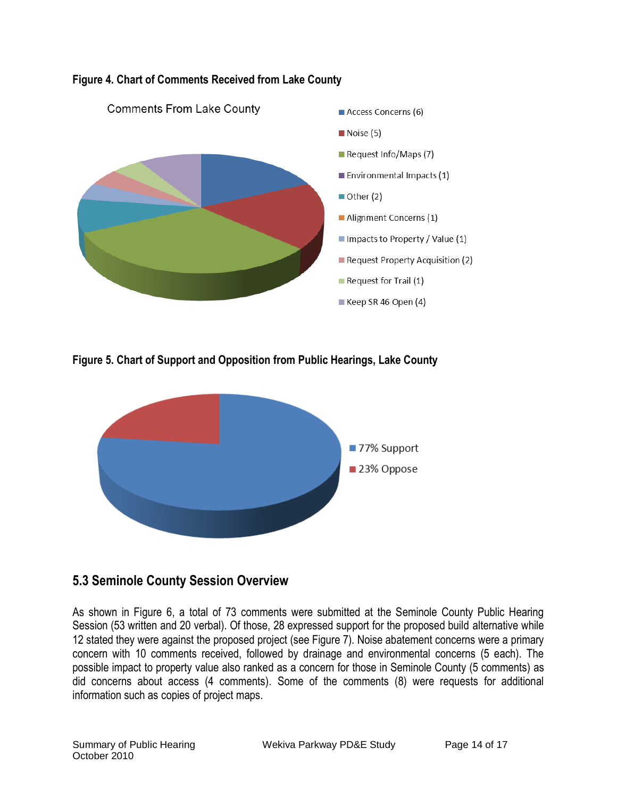

#### **Figure 4. Chart of Comments Received from Lake County**

**Figure 5. Chart of Support and Opposition from Public Hearings, Lake County**



### **5.3 Seminole County Session Overview**

As shown in Figure 6, a total of 73 comments were submitted at the Seminole County Public Hearing Session (53 written and 20 verbal). Of those, 28 expressed support for the proposed build alternative while 12 stated they were against the proposed project (see Figure 7). Noise abatement concerns were a primary concern with 10 comments received, followed by drainage and environmental concerns (5 each). The possible impact to property value also ranked as a concern for those in Seminole County (5 comments) as did concerns about access (4 comments). Some of the comments (8) were requests for additional information such as copies of project maps.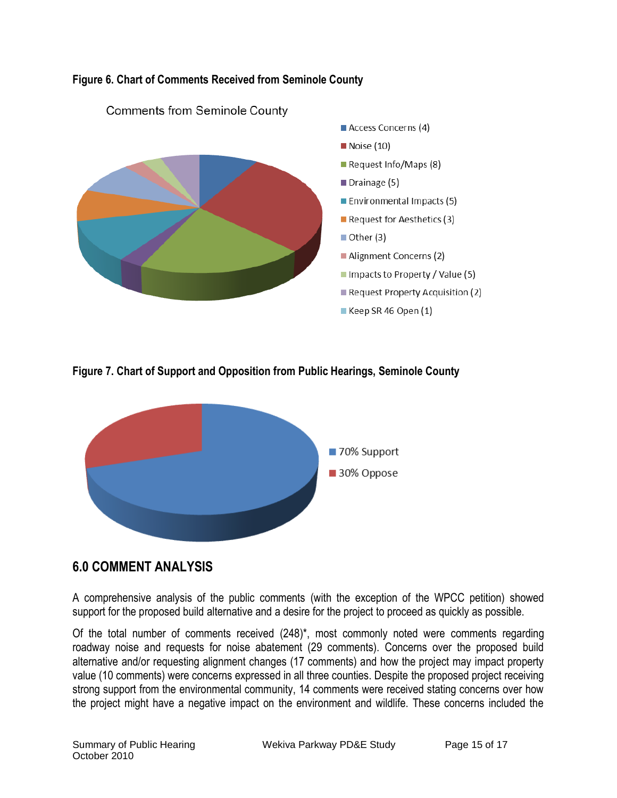

#### **Figure 6. Chart of Comments Received from Seminole County**

**Figure 7. Chart of Support and Opposition from Public Hearings, Seminole County**



### **6.0 COMMENT ANALYSIS**

A comprehensive analysis of the public comments (with the exception of the WPCC petition) showed support for the proposed build alternative and a desire for the project to proceed as quickly as possible.

Of the total number of comments received (248)\*, most commonly noted were comments regarding roadway noise and requests for noise abatement (29 comments). Concerns over the proposed build alternative and/or requesting alignment changes (17 comments) and how the project may impact property value (10 comments) were concerns expressed in all three counties. Despite the proposed project receiving strong support from the environmental community, 14 comments were received stating concerns over how the project might have a negative impact on the environment and wildlife. These concerns included the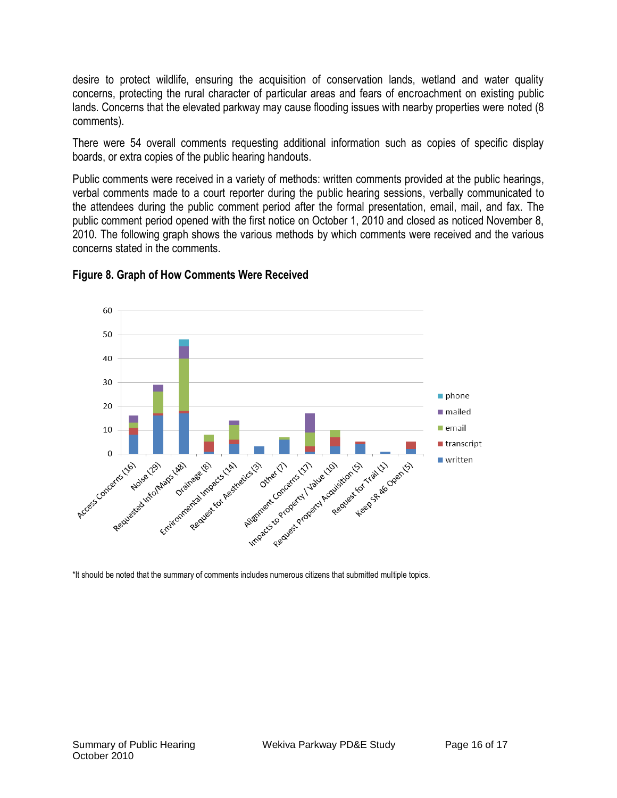desire to protect wildlife, ensuring the acquisition of conservation lands, wetland and water quality concerns, protecting the rural character of particular areas and fears of encroachment on existing public lands. Concerns that the elevated parkway may cause flooding issues with nearby properties were noted (8 comments).

There were 54 overall comments requesting additional information such as copies of specific display boards, or extra copies of the public hearing handouts.

Public comments were received in a variety of methods: written comments provided at the public hearings, verbal comments made to a court reporter during the public hearing sessions, verbally communicated to the attendees during the public comment period after the formal presentation, email, mail, and fax. The public comment period opened with the first notice on October 1, 2010 and closed as noticed November 8, 2010. The following graph shows the various methods by which comments were received and the various concerns stated in the comments.



#### **Figure 8. Graph of How Comments Were Received**

\*It should be noted that the summary of comments includes numerous citizens that submitted multiple topics.